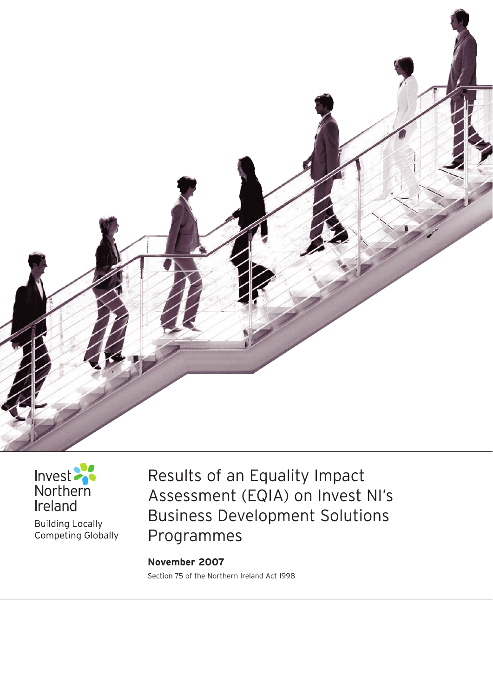



**Building Locally** Competing Globally Results of an Equality Impact Assessment (EQIA) on Invest NI's Business Development Solutions Programmes

**November 2007**  Section 75 of the Northern Ireland Act 1998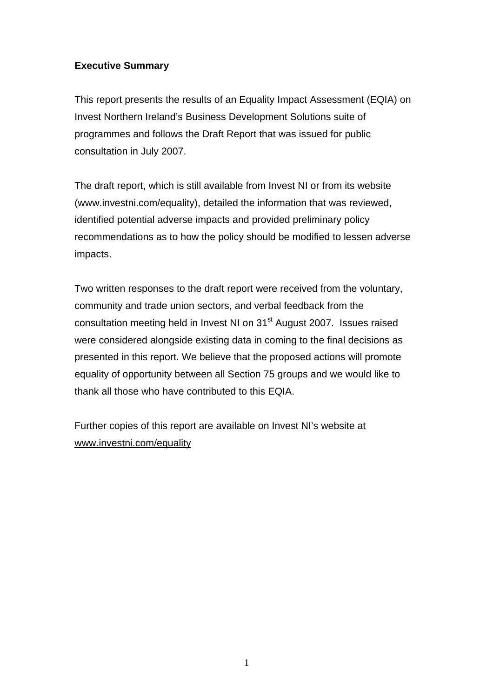#### **Executive Summary**

This report presents the results of an Equality Impact Assessment (EQIA) on Invest Northern Ireland's Business Development Solutions suite of programmes and follows the Draft Report that was issued for public consultation in July 2007.

The draft report, which is still available from Invest NI or from its website (www.investni.com/equality), detailed the information that was reviewed, identified potential adverse impacts and provided preliminary policy recommendations as to how the policy should be modified to lessen adverse impacts.

Two written responses to the draft report were received from the voluntary, community and trade union sectors, and verbal feedback from the consultation meeting held in Invest NI on 31<sup>st</sup> August 2007. Issues raised were considered alongside existing data in coming to the final decisions as presented in this report. We believe that the proposed actions will promote equality of opportunity between all Section 75 groups and we would like to thank all those who have contributed to this EQIA.

Further copies of this report are available on Invest NI's website at [www.investni.com/equality](http://www.investni.com/equality)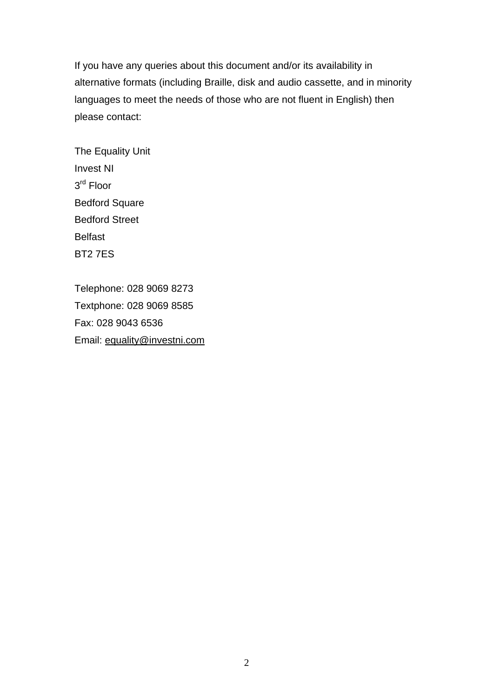If you have any queries about this document and/or its availability in alternative formats (including Braille, disk and audio cassette, and in minority languages to meet the needs of those who are not fluent in English) then please contact:

The Equality Unit Invest NI 3rd Floor Bedford Square Bedford Street Belfast BT2 7ES

Telephone: 028 9069 8273 Textphone: 028 9069 8585 Fax: 028 9043 6536 Email: [equality@investni.com](mailto:equality@investni.com)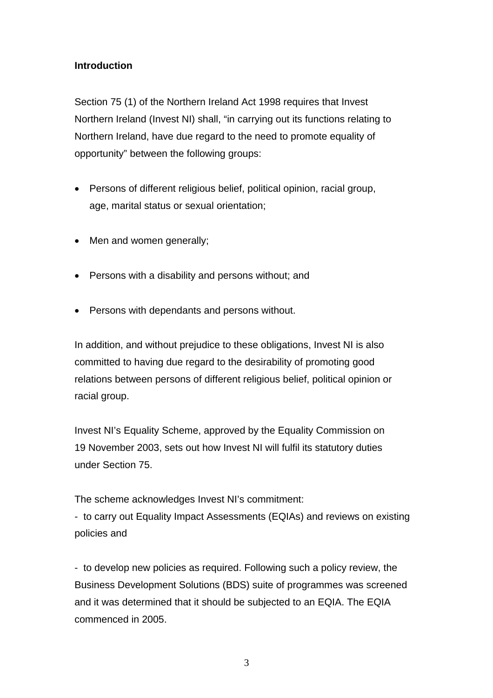#### **Introduction**

Section 75 (1) of the Northern Ireland Act 1998 requires that Invest Northern Ireland (Invest NI) shall, "in carrying out its functions relating to Northern Ireland, have due regard to the need to promote equality of opportunity" between the following groups:

- Persons of different religious belief, political opinion, racial group, age, marital status or sexual orientation;
- Men and women generally;
- Persons with a disability and persons without; and
- Persons with dependants and persons without.

In addition, and without prejudice to these obligations, Invest NI is also committed to having due regard to the desirability of promoting good relations between persons of different religious belief, political opinion or racial group.

Invest NI's Equality Scheme, approved by the Equality Commission on 19 November 2003, sets out how Invest NI will fulfil its statutory duties under Section 75.

The scheme acknowledges Invest NI's commitment:

- to carry out Equality Impact Assessments (EQIAs) and reviews on existing policies and

- to develop new policies as required. Following such a policy review, the Business Development Solutions (BDS) suite of programmes was screened and it was determined that it should be subjected to an EQIA. The EQIA commenced in 2005.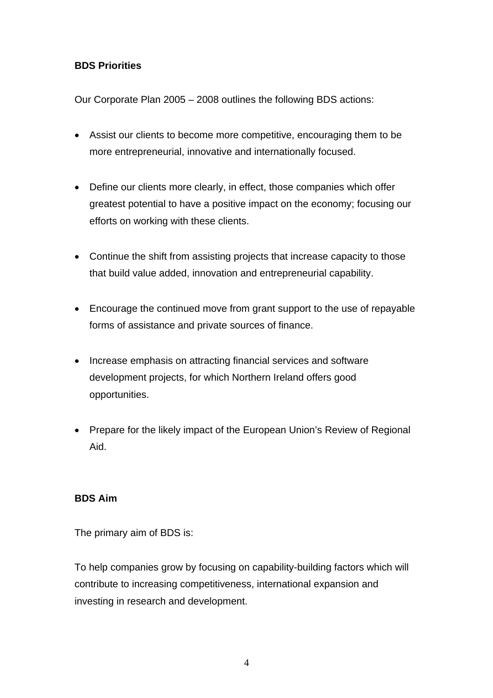## **BDS Priorities**

Our Corporate Plan 2005 – 2008 outlines the following BDS actions:

- Assist our clients to become more competitive, encouraging them to be more entrepreneurial, innovative and internationally focused.
- Define our clients more clearly, in effect, those companies which offer greatest potential to have a positive impact on the economy; focusing our efforts on working with these clients.
- Continue the shift from assisting projects that increase capacity to those that build value added, innovation and entrepreneurial capability.
- Encourage the continued move from grant support to the use of repayable forms of assistance and private sources of finance.
- Increase emphasis on attracting financial services and software development projects, for which Northern Ireland offers good opportunities.
- Prepare for the likely impact of the European Union's Review of Regional Aid.

## **BDS Aim**

The primary aim of BDS is:

To help companies grow by focusing on capability-building factors which will contribute to increasing competitiveness, international expansion and investing in research and development.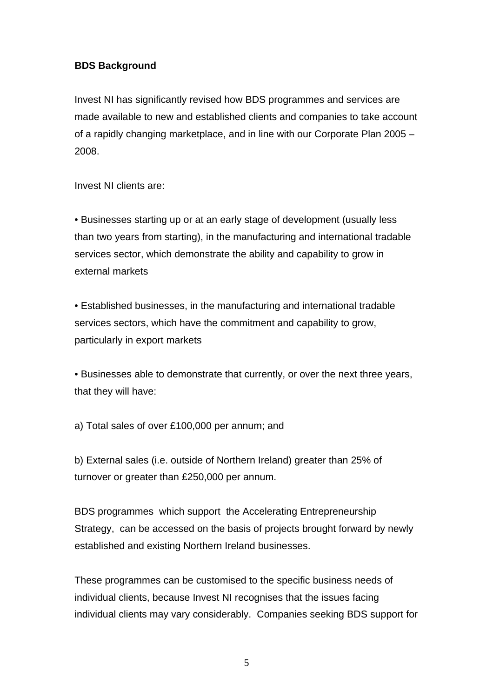### **BDS Background**

Invest NI has significantly revised how BDS programmes and services are made available to new and established clients and companies to take account of a rapidly changing marketplace, and in line with our Corporate Plan 2005 – 2008.

Invest NI clients are:

• Businesses starting up or at an early stage of development (usually less than two years from starting), in the manufacturing and international tradable services sector, which demonstrate the ability and capability to grow in external markets

• Established businesses, in the manufacturing and international tradable services sectors, which have the commitment and capability to grow, particularly in export markets

• Businesses able to demonstrate that currently, or over the next three years, that they will have:

a) Total sales of over £100,000 per annum; and

b) External sales (i.e. outside of Northern Ireland) greater than 25% of turnover or greater than £250,000 per annum.

BDS programmes which support the Accelerating Entrepreneurship Strategy, can be accessed on the basis of projects brought forward by newly established and existing Northern Ireland businesses.

These programmes can be customised to the specific business needs of individual clients, because Invest NI recognises that the issues facing individual clients may vary considerably. Companies seeking BDS support for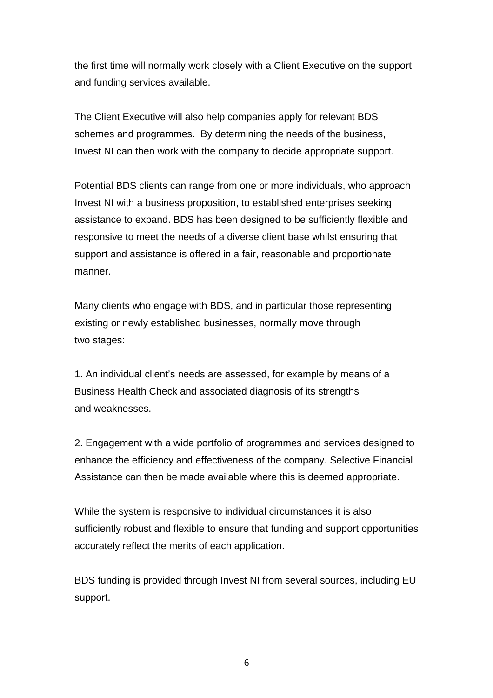the first time will normally work closely with a Client Executive on the support and funding services available.

The Client Executive will also help companies apply for relevant BDS schemes and programmes. By determining the needs of the business, Invest NI can then work with the company to decide appropriate support.

Potential BDS clients can range from one or more individuals, who approach Invest NI with a business proposition, to established enterprises seeking assistance to expand. BDS has been designed to be sufficiently flexible and responsive to meet the needs of a diverse client base whilst ensuring that support and assistance is offered in a fair, reasonable and proportionate manner.

Many clients who engage with BDS, and in particular those representing existing or newly established businesses, normally move through two stages:

1. An individual client's needs are assessed, for example by means of a Business Health Check and associated diagnosis of its strengths and weaknesses.

2. Engagement with a wide portfolio of programmes and services designed to enhance the efficiency and effectiveness of the company. Selective Financial Assistance can then be made available where this is deemed appropriate.

While the system is responsive to individual circumstances it is also sufficiently robust and flexible to ensure that funding and support opportunities accurately reflect the merits of each application.

BDS funding is provided through Invest NI from several sources, including EU support.

6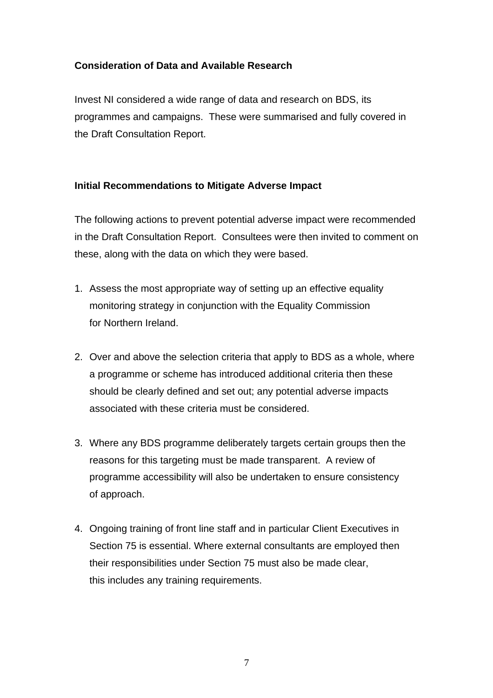## **Consideration of Data and Available Research**

Invest NI considered a wide range of data and research on BDS, its programmes and campaigns. These were summarised and fully covered in the Draft Consultation Report.

#### **Initial Recommendations to Mitigate Adverse Impact**

The following actions to prevent potential adverse impact were recommended in the Draft Consultation Report. Consultees were then invited to comment on these, along with the data on which they were based.

- 1. Assess the most appropriate way of setting up an effective equality monitoring strategy in conjunction with the Equality Commission for Northern Ireland.
- 2. Over and above the selection criteria that apply to BDS as a whole, where a programme or scheme has introduced additional criteria then these should be clearly defined and set out; any potential adverse impacts associated with these criteria must be considered.
- 3. Where any BDS programme deliberately targets certain groups then the reasons for this targeting must be made transparent. A review of programme accessibility will also be undertaken to ensure consistency of approach.
- 4. Ongoing training of front line staff and in particular Client Executives in Section 75 is essential. Where external consultants are employed then their responsibilities under Section 75 must also be made clear, this includes any training requirements.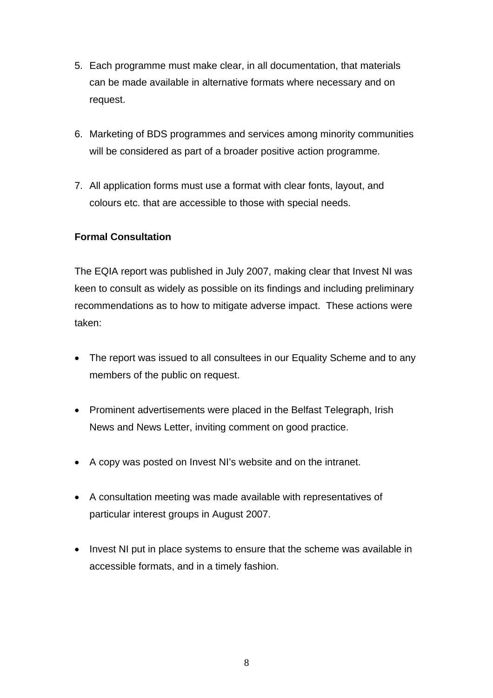- 5. Each programme must make clear, in all documentation, that materials can be made available in alternative formats where necessary and on request.
- 6. Marketing of BDS programmes and services among minority communities will be considered as part of a broader positive action programme.
- 7. All application forms must use a format with clear fonts, layout, and colours etc. that are accessible to those with special needs.

#### **Formal Consultation**

The EQIA report was published in July 2007, making clear that Invest NI was keen to consult as widely as possible on its findings and including preliminary recommendations as to how to mitigate adverse impact. These actions were taken:

- The report was issued to all consultees in our Equality Scheme and to any members of the public on request.
- Prominent advertisements were placed in the Belfast Telegraph, Irish News and News Letter, inviting comment on good practice.
- A copy was posted on Invest NI's website and on the intranet.
- A consultation meeting was made available with representatives of particular interest groups in August 2007.
- Invest NI put in place systems to ensure that the scheme was available in accessible formats, and in a timely fashion.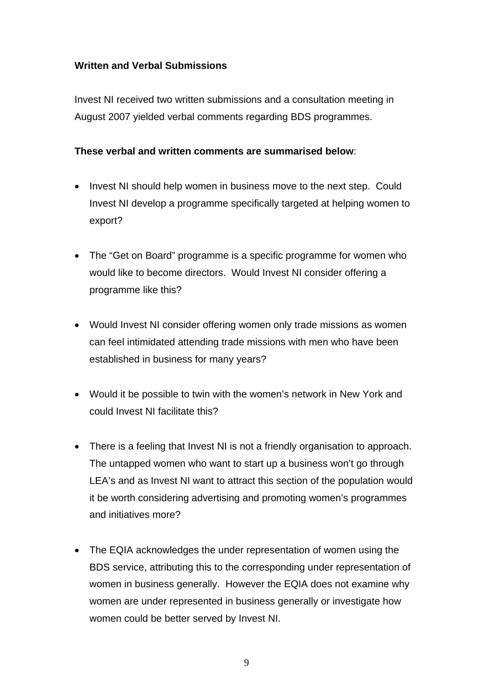#### **Written and Verbal Submissions**

Invest NI received two written submissions and a consultation meeting in August 2007 yielded verbal comments regarding BDS programmes.

#### **These verbal and written comments are summarised below**:

- Invest NI should help women in business move to the next step. Could Invest NI develop a programme specifically targeted at helping women to export?
- The "Get on Board" programme is a specific programme for women who would like to become directors. Would Invest NI consider offering a programme like this?
- Would Invest NI consider offering women only trade missions as women can feel intimidated attending trade missions with men who have been established in business for many years?
- Would it be possible to twin with the women's network in New York and could Invest NI facilitate this?
- There is a feeling that Invest NI is not a friendly organisation to approach. The untapped women who want to start up a business won't go through LEA's and as Invest NI want to attract this section of the population would it be worth considering advertising and promoting women's programmes and initiatives more?
- The EQIA acknowledges the under representation of women using the BDS service, attributing this to the corresponding under representation of women in business generally. However the EQIA does not examine why women are under represented in business generally or investigate how women could be better served by Invest NI.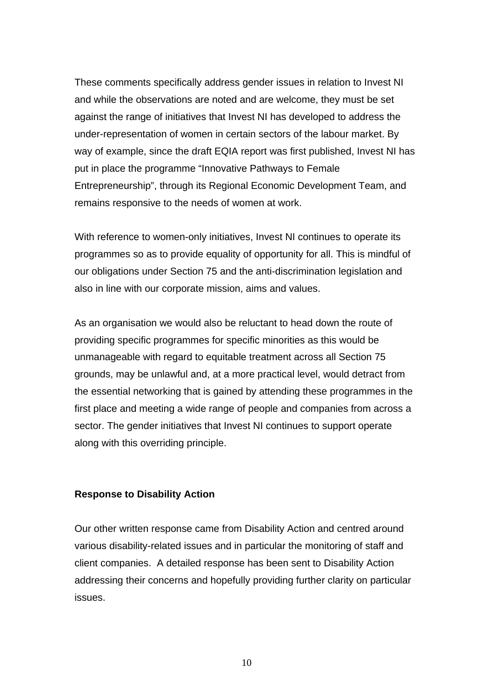These comments specifically address gender issues in relation to Invest NI and while the observations are noted and are welcome, they must be set against the range of initiatives that Invest NI has developed to address the under-representation of women in certain sectors of the labour market. By way of example, since the draft EQIA report was first published, Invest NI has put in place the programme "Innovative Pathways to Female Entrepreneurship", through its Regional Economic Development Team, and remains responsive to the needs of women at work.

With reference to women-only initiatives, Invest NI continues to operate its programmes so as to provide equality of opportunity for all. This is mindful of our obligations under Section 75 and the anti-discrimination legislation and also in line with our corporate mission, aims and values.

As an organisation we would also be reluctant to head down the route of providing specific programmes for specific minorities as this would be unmanageable with regard to equitable treatment across all Section 75 grounds, may be unlawful and, at a more practical level, would detract from the essential networking that is gained by attending these programmes in the first place and meeting a wide range of people and companies from across a sector. The gender initiatives that Invest NI continues to support operate along with this overriding principle.

#### **Response to Disability Action**

Our other written response came from Disability Action and centred around various disability-related issues and in particular the monitoring of staff and client companies. A detailed response has been sent to Disability Action addressing their concerns and hopefully providing further clarity on particular issues.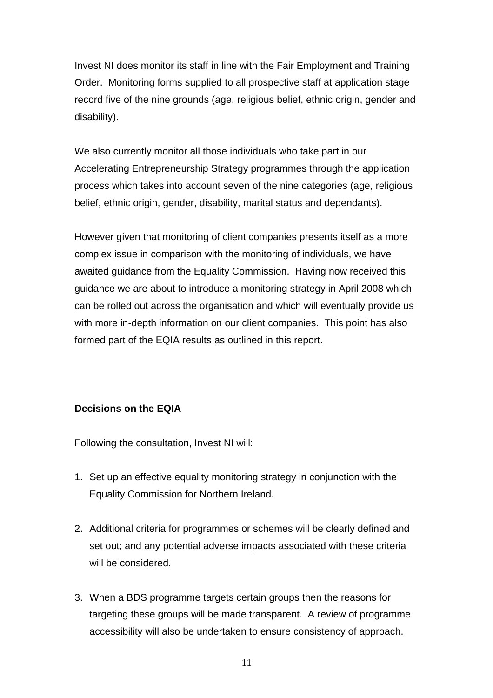Invest NI does monitor its staff in line with the Fair Employment and Training Order. Monitoring forms supplied to all prospective staff at application stage record five of the nine grounds (age, religious belief, ethnic origin, gender and disability).

We also currently monitor all those individuals who take part in our Accelerating Entrepreneurship Strategy programmes through the application process which takes into account seven of the nine categories (age, religious belief, ethnic origin, gender, disability, marital status and dependants).

However given that monitoring of client companies presents itself as a more complex issue in comparison with the monitoring of individuals, we have awaited guidance from the Equality Commission. Having now received this guidance we are about to introduce a monitoring strategy in April 2008 which can be rolled out across the organisation and which will eventually provide us with more in-depth information on our client companies. This point has also formed part of the EQIA results as outlined in this report.

#### **Decisions on the EQIA**

Following the consultation, Invest NI will:

- 1. Set up an effective equality monitoring strategy in conjunction with the Equality Commission for Northern Ireland.
- 2. Additional criteria for programmes or schemes will be clearly defined and set out; and any potential adverse impacts associated with these criteria will be considered.
- 3. When a BDS programme targets certain groups then the reasons for targeting these groups will be made transparent. A review of programme accessibility will also be undertaken to ensure consistency of approach.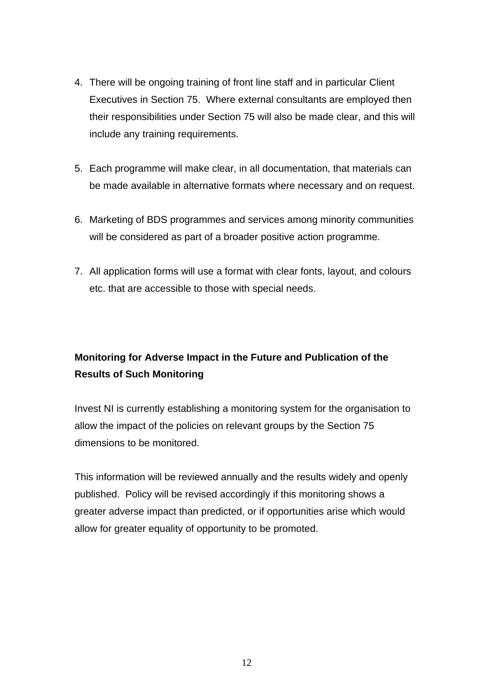- 4. There will be ongoing training of front line staff and in particular Client Executives in Section 75. Where external consultants are employed then their responsibilities under Section 75 will also be made clear, and this will include any training requirements.
- 5. Each programme will make clear, in all documentation, that materials can be made available in alternative formats where necessary and on request.
- 6. Marketing of BDS programmes and services among minority communities will be considered as part of a broader positive action programme.
- 7. All application forms will use a format with clear fonts, layout, and colours etc. that are accessible to those with special needs.

# **Monitoring for Adverse Impact in the Future and Publication of the Results of Such Monitoring**

Invest NI is currently establishing a monitoring system for the organisation to allow the impact of the policies on relevant groups by the Section 75 dimensions to be monitored.

This information will be reviewed annually and the results widely and openly published. Policy will be revised accordingly if this monitoring shows a greater adverse impact than predicted, or if opportunities arise which would allow for greater equality of opportunity to be promoted.